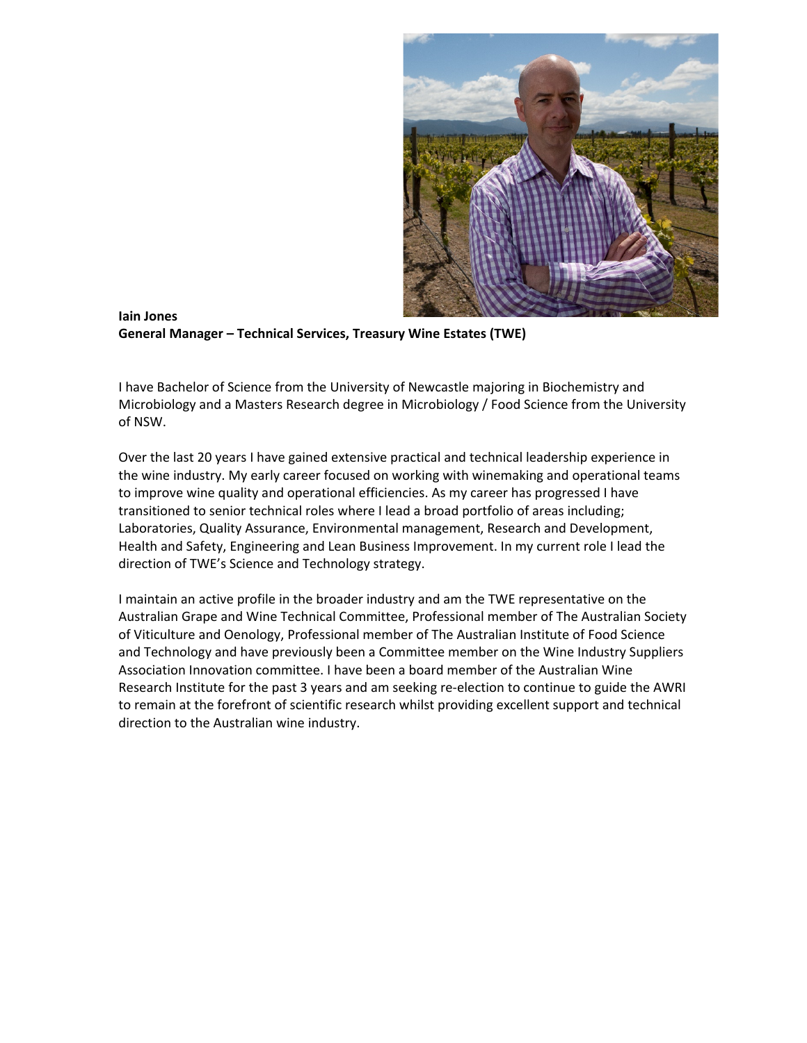

**Iain Jones General Manager – Technical Services, Treasury Wine Estates (TWE)**

I have Bachelor of Science from the University of Newcastle majoring in Biochemistry and Microbiology and a Masters Research degree in Microbiology / Food Science from the University of NSW.

Over the last 20 years I have gained extensive practical and technical leadership experience in the wine industry. My early career focused on working with winemaking and operational teams to improve wine quality and operational efficiencies. As my career has progressed I have transitioned to senior technical roles where I lead a broad portfolio of areas including; Laboratories, Quality Assurance, Environmental management, Research and Development, Health and Safety, Engineering and Lean Business Improvement. In my current role I lead the direction of TWE's Science and Technology strategy.

I maintain an active profile in the broader industry and am the TWE representative on the Australian Grape and Wine Technical Committee, Professional member of The Australian Society of Viticulture and Oenology, Professional member of The Australian Institute of Food Science and Technology and have previously been a Committee member on the Wine Industry Suppliers Association Innovation committee. I have been a board member of the Australian Wine Research Institute for the past 3 years and am seeking re-election to continue to guide the AWRI to remain at the forefront of scientific research whilst providing excellent support and technical direction to the Australian wine industry.